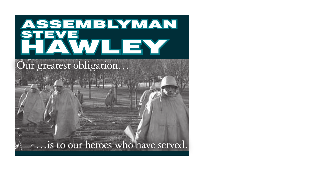## HAWLEY **STEVE** ASSEMBLYMAN

## Our greatest obligation…